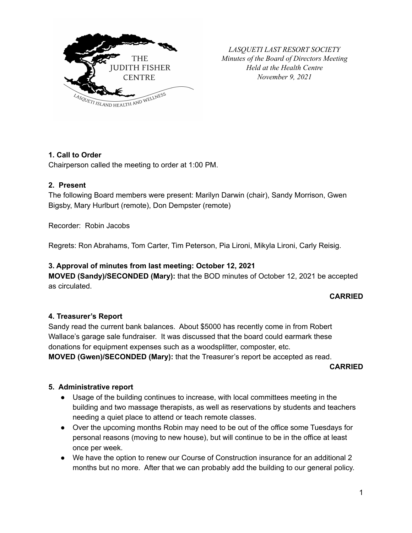

*LASQUETI LAST RESORT SOCIETY Minutes of the Board of Directors Meeting Held at the Health Centre November 9, 2021*

## **1. Call to Order**

Chairperson called the meeting to order at 1:00 PM.

### **2. Present**

The following Board members were present: Marilyn Darwin (chair), Sandy Morrison, Gwen Bigsby, Mary Hurlburt (remote), Don Dempster (remote)

Recorder: Robin Jacobs

Regrets: Ron Abrahams, Tom Carter, Tim Peterson, Pia Lironi, Mikyla Lironi, Carly Reisig.

### **3. Approval of minutes from last meeting: October 12, 2021**

**MOVED (Sandy)/SECONDED (Mary):** that the BOD minutes of October 12, 2021 be accepted as circulated.

#### **CARRIED**

### **4. Treasurer's Report**

Sandy read the current bank balances. About \$5000 has recently come in from Robert Wallace's garage sale fundraiser. It was discussed that the board could earmark these donations for equipment expenses such as a woodsplitter, composter, etc.

**MOVED (Gwen)/SECONDED (Mary):** that the Treasurer's report be accepted as read.

**CARRIED**

### **5. Administrative report**

- Usage of the building continues to increase, with local committees meeting in the building and two massage therapists, as well as reservations by students and teachers needing a quiet place to attend or teach remote classes.
- Over the upcoming months Robin may need to be out of the office some Tuesdays for personal reasons (moving to new house), but will continue to be in the office at least once per week.
- We have the option to renew our Course of Construction insurance for an additional 2 months but no more. After that we can probably add the building to our general policy.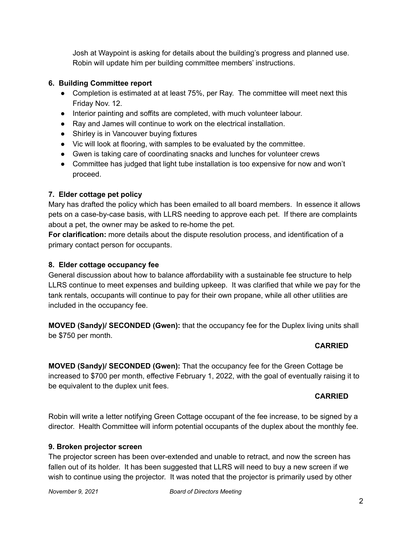Josh at Waypoint is asking for details about the building's progress and planned use. Robin will update him per building committee members' instructions.

## **6. Building Committee report**

- Completion is estimated at at least 75%, per Ray. The committee will meet next this Friday Nov. 12.
- Interior painting and soffits are completed, with much volunteer labour.
- Ray and James will continue to work on the electrical installation.
- Shirley is in Vancouver buying fixtures
- Vic will look at flooring, with samples to be evaluated by the committee.
- Gwen is taking care of coordinating snacks and lunches for volunteer crews
- Committee has judged that light tube installation is too expensive for now and won't proceed.

# **7. Elder cottage pet policy**

Mary has drafted the policy which has been emailed to all board members. In essence it allows pets on a case-by-case basis, with LLRS needing to approve each pet. If there are complaints about a pet, the owner may be asked to re-home the pet.

**For clarification:** more details about the dispute resolution process, and identification of a primary contact person for occupants.

## **8. Elder cottage occupancy fee**

General discussion about how to balance affordability with a sustainable fee structure to help LLRS continue to meet expenses and building upkeep. It was clarified that while we pay for the tank rentals, occupants will continue to pay for their own propane, while all other utilities are included in the occupancy fee.

**MOVED (Sandy)/ SECONDED (Gwen):** that the occupancy fee for the Duplex living units shall be \$750 per month.

# **CARRIED**

**MOVED (Sandy)/ SECONDED (Gwen):** That the occupancy fee for the Green Cottage be increased to \$700 per month, effective February 1, 2022, with the goal of eventually raising it to be equivalent to the duplex unit fees.

# **CARRIED**

Robin will write a letter notifying Green Cottage occupant of the fee increase, to be signed by a director. Health Committee will inform potential occupants of the duplex about the monthly fee.

## **9. Broken projector screen**

The projector screen has been over-extended and unable to retract, and now the screen has fallen out of its holder. It has been suggested that LLRS will need to buy a new screen if we wish to continue using the projector. It was noted that the projector is primarily used by other